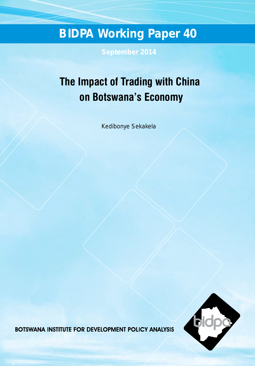# **BIDPA Working Paper 40**

**September 2014**

## **The Impact of Trading with China on Botswana's Economy**

Kedibonye Sekakela



**BOTSWANA INSTITUTE FOR DEVELOPMENT POLICY ANALYSIS**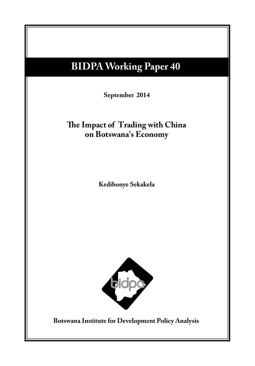## **BIDPA Working Paper 40**

 $S_{\text{c}}$  September 201<del>1</del> **September 2014**

## **Potential Impact on the Botswan**d International International International International International International International International International International International International International Inte **The Impact of Trading with China on Botswana's Economy**

**Margaret Sengwaketse Masedi Motswapong Kedibonye Sekakela**



**Botswana Institute for Development Policy Analysis**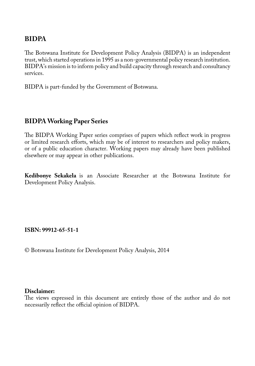## **BIDPA**

The Botswana Institute for Development Policy Analysis (BIDPA) is an independent trust, which started operations in 1995 as a non-governmental policy research institution. BIDPA's mission is to inform policy and build capacity through research and consultancy services.

BIDPA is part-funded by the Government of Botswana.

## **BIDPA Working Paper Series**

The BIDPA Working Paper series comprises of papers which reflect work in progress or limited research efforts, which may be of interest to researchers and policy makers, or of a public education character. Working papers may already have been published elsewhere or may appear in other publications.

**Kedibonye Sekakela** is an Associate Researcher at the Botswana Institute for Development Policy Analysis.

#### **ISBN: 99912-65-51-1**

© Botswana Institute for Development Policy Analysis, 2014

#### **Disclaimer:**

The views expressed in this document are entirely those of the author and do not necessarily reflect the official opinion of BIDPA.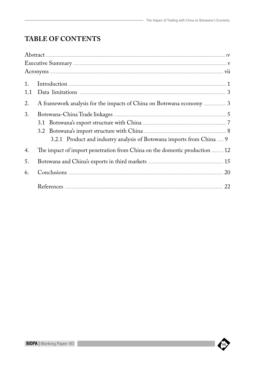## **Table of Contents**

| 1.  |                                                                            |    |
|-----|----------------------------------------------------------------------------|----|
| 1.1 |                                                                            |    |
| 2.  |                                                                            |    |
| 3.  |                                                                            |    |
|     |                                                                            |    |
|     |                                                                            |    |
|     | 3.2.1 Product and industry analysis of Botswana imports from China  9      |    |
| 4.  | The impact of import penetration from China on the domestic production  12 |    |
| 5.  |                                                                            |    |
| 6.  |                                                                            |    |
|     |                                                                            | 22 |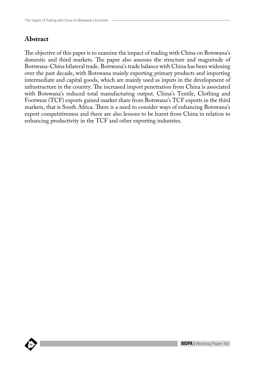### **Abstract**

The objective of this paper is to examine the impact of trading with China on Botswana's domestic and third markets. The paper also assesses the structure and magnitude of Botswana-China bilateral trade. Botswana's trade balance with China has been widening over the past decade, with Botswana mainly exporting primary products and importing intermediate and capital goods, which are mainly used as inputs in the development of infrastructure in the country. The increased import penetration from China is associated with Botswana's reduced total manufacturing output. China's Textile, Clothing and Footwear (TCF) exports gained market share from Botswana's TCF exports in the third markets, that is South Africa. There is a need to consider ways of enhancing Botswana's export competitiveness and there are also lessons to be learnt from China in relation to enhancing productivity in the TCF and other exporting industries.

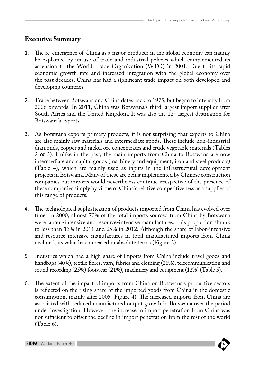## **Executive Summary**

- 1. The re-emergence of China as a major producer in the global economy can mainly be explained by its use of trade and industrial policies which complemented its ascension to the World Trade Organization (WTO) in 2001. Due to its rapid economic growth rate and increased integration with the global economy over the past decades, China has had a significant trade impact on both developed and developing countries.
- 2. Trade between Botswana and China dates back to 1975, but began to intensify from 2006 onwards. In 2011, China was Botswana's third largest import supplier after South Africa and the United Kingdom. It was also the 12<sup>th</sup> largest destination for Botswana's exports.
- 3. As Botswana exports primary products, it is not surprising that exports to China are also mainly raw materials and intermediate goods. These include non-industrial diamonds, copper and nickel ore concentrates and crude vegetable materials (Tables 2 & 3). Unlike in the past, the main imports from China to Botswana are now intermediate and capital goods (machinery and equipment, iron and steel products) (Table 4), which are mainly used as inputs in the infrastructural development projects in Botswana. Many of these are being implemented by Chinese construction companies but imports would nevertheless continue irrespective of the presence of these companies simply by virtue of China's relative competitiveness as a supplier of this range of products.
- 4. The technological sophistication of products imported from China has evolved over time. In 2000, almost 70% of the total imports sourced from China by Botswana were labour-intensive and resource-intensive manufactures. This proportion shrank to less than 13% in 2011 and 25% in 2012. Although the share of labor-intensive and resource-intensive manufactures in total manufactured imports from China declined, its value has increased in absolute terms (Figure 3).
- 5. Industries which had a high share of imports from China include travel goods and handbags (40%), textile fibres, yarn, fabrics and clothing (26%), telecommunication and sound recording (25%) footwear (21%), machinery and equipment (12%) (Table 5).
- 6. The extent of the impact of imports from China on Botswana's productive sectors is reflected on the rising share of the imported goods from China in the domestic consumption, mainly after 2005 (Figure 4). The increased imports from China are associated with reduced manufactured output growth in Botswana over the period under investigation. However, the increase in import penetration from China was not sufficient to offset the decline in import penetration from the rest of the world (Table 6).

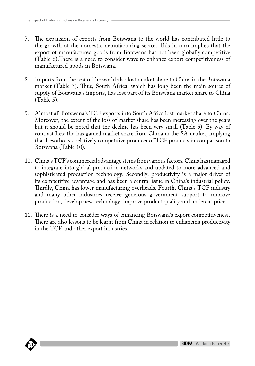- 7. The expansion of exports from Botswana to the world has contributed little to the growth of the domestic manufacturing sector. This in turn implies that the export of manufactured goods from Botswana has not been globally competitive (Table 6).There is a need to consider ways to enhance export competitiveness of manufactured goods in Botswana.
- 8. Imports from the rest of the world also lost market share to China in the Botswana market (Table 7). Thus, South Africa, which has long been the main source of supply of Botswana's imports, has lost part of its Botswana market share to China (Table 5).
- 9. Almost all Botswana's TCF exports into South Africa lost market share to China. Moreover, the extent of the loss of market share has been increasing over the years but it should be noted that the decline has been very small (Table 9). By way of contrast Lesotho has gained market share from China in the SA market, implying that Lesotho is a relatively competitive producer of TCF products in comparison to Botswana (Table 10).
- 10. China's TCF's commercial advantage stems from various factors. China has managed to integrate into global production networks and updated to more advanced and sophisticated production technology. Secondly, productivity is a major driver of its competitive advantage and has been a central issue in China's industrial policy. Thirdly, China has lower manufacturing overheads. Fourth, China's TCF industry and many other industries receive generous government support to improve production, develop new technology, improve product quality and undercut price.
- 11. There is a need to consider ways of enhancing Botswana's export competitiveness. There are also lessons to be learnt from China in relation to enhancing productivity in the TCF and other export industries.

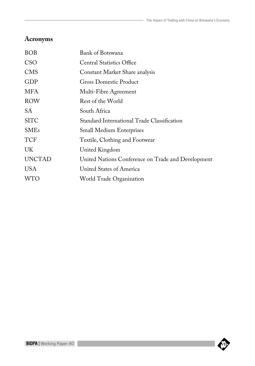## **Acronyms**

| <b>BOB</b>    | Bank of Botswana                                   |
|---------------|----------------------------------------------------|
| <b>CSO</b>    | <b>Central Statistics Office</b>                   |
| <b>CMS</b>    | Constant Market Share analysis                     |
| GDP           | <b>Gross Domestic Product</b>                      |
| MFA           | Multi-Fibre Agreement                              |
| <b>ROW</b>    | Rest of the World                                  |
| SА            | South Africa                                       |
| <b>SITC</b>   | Standard International Trade Classification        |
| <b>SMEs</b>   | <b>Small Medium Enterprises</b>                    |
| <b>TCF</b>    | Textile, Clothing and Footwear                     |
| UK            | United Kingdom                                     |
| <b>UNCTAD</b> | United Nations Conference on Trade and Development |
| <b>USA</b>    | United States of America                           |
| <b>WTO</b>    | World Trade Organization                           |
|               |                                                    |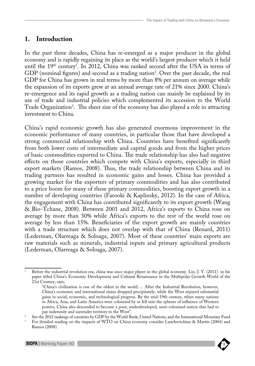## **1. Introduction**

In the past three decades, China has re-emerged as a major producer in the global economy and is rapidly regaining its place as the world's largest producer which it held until the  $19<sup>th</sup>$  century<sup>1</sup>. In 2012, China was ranked second after the USA in terms of GDP (nominal figures) and second as a trading nation<sup>2</sup>. Over the past decade, the real GDP for China has grown in real terms by more than 8% per annum on average while the expansion of its exports grew at an annual average rate of 21% since 2000. China's re-emergence and its rapid growth as a trading nation can mainly be explained by its use of trade and industrial policies which complemented its accession to the World Trade Organization3 . The sheer size of the economy has also played a role in attracting investment to China.

China's rapid economic growth has also generated enormous improvement in the economic performance of many countries, in particular those that have developed a strong commercial relationship with China. Countries have benefited significantly from both lower costs of intermediate and capital goods and from the higher prices of basic commodities exported to China. The trade relationship has also had negative effects on those countries which compete with China's exports, especially in third export markets (Ramos, 2008). Thus, the trade relationship between China and its trading partners has resulted in economic gains and losses. China has provided a growing market for the exporters of primary commodities and has also contributed to a price boom for many of these primary commodities, boosting export growth in a number of developing countries (Farooki & Kaplinsky, 2012). In the case of Africa, the engagement with China has contributed significantly to its export growth (Wang & Bio-Tchane, 2008). Between 2001 and 2012, Africa's exports to China rose on average by more than 30% while Africa's exports to the rest of the world rose on average by less than 15%. Beneficiaries of the export growth are mainly countries with a trade structure which does not overlap with that of China (Renard, 2011) (Lederman, Olarreaga & Soloaga, 2007). Most of these countries' main exports are raw materials such as minerals, industrial inputs and primary agricultural products (Lederman, Olarreaga & Soloaga, 2007).

<sup>1</sup> Before the industrial revolution era, china was once major player in the global economy. Lin. J. Y. (2011) in his paper titled China's Economic Development and Cultural Renaissance in the Multipolar Growth World of the 21st Century, says;

<sup>&</sup>quot;China's civilization is one of the oldest in the world…. After the Industrial Revolution, however, China's economic and international status dropped precipitately, while the West enjoyed substantial gains in social, economic, and technological progress. By the mid-19th century, when many nations in Africa, Asia, and Latin America were colonized by or fell into the spheres of influence of Western powers, China also descended to become a poor, underdeveloped, semi-colonized nation that had to

pay indemnity and surrender territory to the West".

<sup>&</sup>lt;sup>2</sup> See the 2012 rankings of countries by GDP by the World Bank, United Nations, and the International Monetary Fund  $\frac{3}{10}$  For detailed reading on the impacts of WTO on China economy consider Lanchovichina & Martin ( Ramos (2008).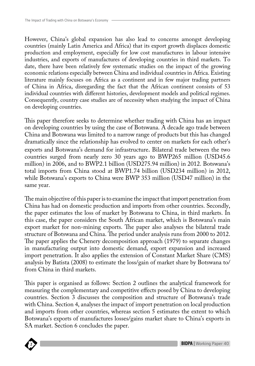However, China's global expansion has also lead to concerns amongst developing countries (mainly Latin America and Africa) that its export growth displaces domestic production and employment, especially for low cost manufactures in labour intensive industries, and exports of manufactures of developing countries in third markets. To date, there have been relatively few systematic studies on the impact of the growing economic relations especially between China and individual countries in Africa. Existing literature mainly focuses on Africa as a continent and in few major trading partners of China in Africa, disregarding the fact that the African continent consists of 53 individual countries with different histories, development models and political regimes. Consequently, country case studies are of necessity when studying the impact of China on developing countries.

This paper therefore seeks to determine whether trading with China has an impact on developing countries by using the case of Botswana. A decade ago trade between China and Botswana was limited to a narrow range of products but this has changed dramatically since the relationship has evolved to center on markets for each other's exports and Botswana's demand for infrastructure. Bilateral trade between the two countries surged from nearly zero 30 years ago to BWP265 million (USD45.6 million) in 2006, and to BWP2.1 billion (USD275.94 million) in 2012. Botswana's total imports from China stood at BWP1.74 billion (USD234 million) in 2012, while Botswana's exports to China were BWP 353 million (USD47 million) in the same year.

The main objective of this paper is to examine the impact that import penetration from China has had on domestic production and imports from other countries. Secondly, the paper estimates the loss of market by Botswana to China, in third markets. In this case, the paper considers the South African market, which is Botswana's main export market for non-mining exports. The paper also analyses the bilateral trade structure of Botswana and China. The period under analysis runs from 2000 to 2012. The paper applies the Chenery decomposition approach (1979) to separate changes in manufacturing output into domestic demand, export expansion and increased import penetration. It also applies the extension of Constant Market Share (CMS) analysis by Batista (2008) to estimate the loss/gain of market share by Botswana to/ from China in third markets.

**SA** market. Section 6 concludes the paper. This paper is organised as follows: Section 2 outlines the analytical framework for measuring the complementary and competitive effects posed by China to developing countries. Section 3 discusses the composition and structure of Botswana's trade with China. Section 4, analyses the impact of import penetration on local production and imports from other countries, whereas section  $\bar{5}$  estimates the extent to which Botswana's exports of manufactures losses/gains market share to China's exports in

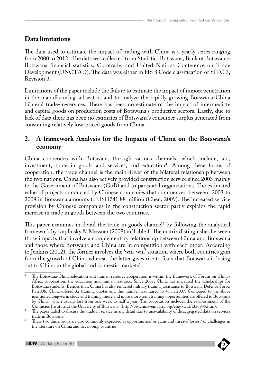## **Data limitations**

The data used to estimate the impact of trading with China is a yearly series ranging from 2000 to 2012. The data was collected from Statistics Botswana, Bank of Botswana-Botswana financial statistics, Comtrade, and United Nations Conference on Trade Development (UNCTAD). The data was either in HS 8 Code classification or SITC 3, Revision 3.

Limitations of the paper include the failure to estimate the impact of import penetration in the manufacturing subsectors and to analyze the rapidly growing Botswana-China bilateral trade-in-services. There has been no estimate of the impact of intermediate and capital goods on production costs of Botswana's productive sectors. Lastly, due to lack of data there has been no estimates of Botswana's consumer surplus generated from consuming relatively low-priced goods from China.

## **2. A framework Analysis for the Impacts of China on the Botswana's economy**

China cooperates with Botswana through various channels, which include; aid, investment, trade in goods and services, and education<sup>4</sup>. Among these forms of cooperation, the trade channel is the main driver of the bilateral relationship between the two nations. China has also actively provided construction service since 2003 mainly to the Government of Botswana (GoB) and to parastatal organizations. The estimated value of projects conducted by Chinese companies that commenced between 2003 to 2008 in Botswana amounts to USD741.88 million (Chen, 2009). The increased service provision by Chinese companies in the construction sector partly explains the rapid increase in trade in goods between the two countries.

This paper examines in detail the trade in goods channel<sup>5</sup> by following the analytical framework by Kaplinsky & Messner (2008) in Table 1. The matrix distinguishes between those impacts that involve a complementary relationship between China and Botswana and those where Botswana and China are in competition with each other. According to Jenkins (2012), the former involves the 'win-win' situation where both countries gain from the growth of China whereas the latter gives rise to fears that Botswana is losing out to China in the global and domestic markets<sup>6</sup>.

The Botswana-China education and human resource cooperation is within the framework of Forum on China-Africa cooperation, the education and human resource. Since 2007, China has increased the scholarships for Botswana students. Besides that, China has also rendered military training assistance to Botswana Defence Force. In 2006, China offered 32 training quotas and this number was raised to 43 in 2007. Compared to the above mentioned long-term study and training, more and more short-term training opportunities are offered to Botswana by China, which usually last from one week to half a year. The cooperation includes the establishment of the Confucius Institute at the University of Botswana. (http://bw.china-embassy.org/eng/xwdt/t356945.htm).

 $\sim$  The paper failed to discuss the trade in service in any detail due to unavailability of disaggregated data on services trade in Botswana.

<sup>6</sup> These two dimensions are also commonly expressed as opportunities/ or gains and threats/ losses / or challenges in the literature on China and developing countries.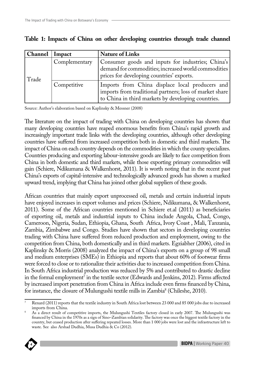| Channel | <b>Impact</b> | <b>Nature of Links</b>                                                                                                                                           |
|---------|---------------|------------------------------------------------------------------------------------------------------------------------------------------------------------------|
| Trade   | Complementary | Consumer goods and inputs for industries; China's<br>demand for commodities; increased world commodities<br>prices for developing countries' exports.            |
|         | Competitive   | Imports from China displace local producers and<br>imports from traditional partners; loss of market share<br>to China in third markets by developing countries. |

|  |  |  |  |  |  |  | Table 1: Impacts of China on other developing countries through trade channel |  |  |  |  |  |
|--|--|--|--|--|--|--|-------------------------------------------------------------------------------|--|--|--|--|--|
|--|--|--|--|--|--|--|-------------------------------------------------------------------------------|--|--|--|--|--|

Source: Author's elaboration based on Kaplinsky & Messner (2008)

The literature on the impact of trading with China on developing countries has shown that many developing countries have reaped enormous benefits from China's rapid growth and increasingly important trade links with the developing countries, although other developing countries have suffered from increased competition both in domestic and third markets. The impact of China on each country depends on the commodities in which the county specializes. Countries producing and exporting labour-intensive goods are likely to face competition from China in both domestic and third markets, while those exporting primary commodities will gain (Schiere, Ndikumana & Walkenhorst, 2011). It is worth noting that in the recent past China's exports of capital-intensive and technologically advanced goods has shown a marked upward trend, implying that China has joined other global suppliers of these goods.

African countries that mainly export unprocessed oil, metals and certain industrial inputs have enjoyed increases in export volumes and prices (Schiere, Ndikumana, & Walkenhorst, 2011). Some of the African countries mentioned in Schiere et.al (2011) as beneficiaries of exporting oil, metals and industrial inputs to China include Angola, Chad, Congo, Cameroon, Nigeria, Sudan, Ethiopia, Ghana, South Africa, Ivory Coast , Mali, Tanzania, Zambia, Zimbabwe and Congo. Studies have shown that sectors in developing countries trading with China have suffered from reduced production and employment, owing to the competition from China, both domestically and in third markets. Egziabher (2006), cited in Kaplinsky & Morris (2008) analyzed the impact of China's exports on a group of 98 small and medium enterprises (SMEs) in Ethiopia and reports that about 60% of footwear firms were forced to close or to rationalize their activities due to increased competition from China. In South Africa industrial production was reduced by 5% and contributed to drastic decline in the formal employment<sup>7</sup> in the textile sector (Edwards and Jenkins, 2012). Firms affected by increased import penetration from China in Africa include even firms financed by China, for instance, the closure of Mulungushi textile mills in Zambia<sup>8</sup> (Chileshe, 2010).

**BIDPA Publications Series** waste. See also Arshad Dudhia, Musa Dudhia & Co (2012). As a direct result of competitive imports, the Mulungushi Textiles factory closed in early 2007. The Mulungushi was financed by China in the 1970s as a sign of Sino–Zambian solidarity. The factory was once the biggest textile factory in the country, but ceased production after suffering repeated losses. More than 1 000 jobs were lost and the infrastructure left to



Renard (2011) reports that the textile industry in South Africa lost between 23 000 and 85 000 jobs due to increased imports from China.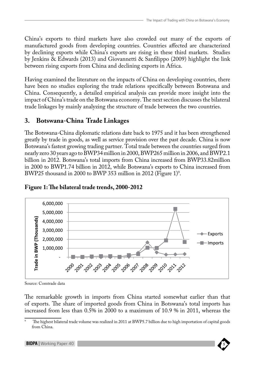China's exports to third markets have also crowded out many of the exports of manufactured goods from developing countries. Countries affected are characterized by declining exports while China's exports are rising in these third markets. Studies by Jenkins & Edwards (2013) and Giovannetti & Sanfilippo (2009) highlight the link between rising exports from China and declining exports in Africa.

Having examined the literature on the impacts of China on developing countries, there have been no studies exploring the trade relations specifically between Botswana and China. Consequently, a detailed empirical analysis can provide more insight into the impact of China's trade on the Botswana economy. The next section discusses the bilateral trade linkages by mainly analyzing the structure of trade between the two countries.

## **3. Botswana-China Trade Linkages**

The Botswana-China diplomatic relations date back to 1975 and it has been strengthened greatly by trade in goods, as well as service provision over the past decade. China is now Botswana's fastest growing trading partner. Total trade between the countries surged from nearly zero 30 years ago to BWP34 million in 2000, BWP265 million in 2006, and BWP2.1 billion in 2012. Botswana's total imports from China increased from BWP33.82million in 2000 to BWP1.74 billion in 2012, while Botswana's exports to China increased from BWP25 thousand in 2000 to BWP 353 million in 2012 (Figure 1)<sup>9</sup>.



## **Figure 1: The bilateral trade trends, 2000-2012 Figure 1: The bilateral trade trends, 2000-2012**

Source: Comtrade data

**Figure 2: Bilateral trade balance by end use classification, 2000-2012** of exports. The share of imported goods from China in Botswana's total imports has The remarkable growth in imports from China started somewhat earlier than that increased from less than 0.5% in 2000 to a maximum of 10.9 % in 2011, whereas the

<sup>&</sup>lt;sup>9</sup> The highest bilateral trade volume was realized in 2011 at BWP5.7 billion due to high importation of capital goods from China.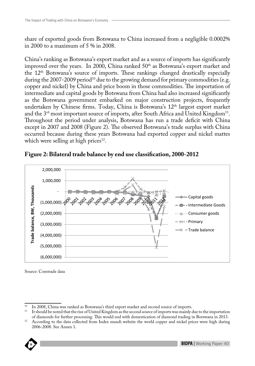share of exported goods from Botswana to China increased from a negligible 0.0002% in 2000 to a maximum of 5 % in 2008.

China's ranking as Botswana's export market and as a source of imports has significantly improved over the years. In 2000, China ranked 50<sup>th</sup> as Botswana's export market and the 12th Botswana's source of imports. These rankings changed drastically especially during the 2007-2009 period<sup>10</sup> due to the growing demand for primary commodities (e.g. copper and nickel) by China and price boom in those commodities. The importation of intermediate and capital goods by Botswana from China had also increased significantly as the Botswana government embarked on major construction projects, frequently undertaken by Chinese firms. Today, China is Botswana's 12<sup>th</sup> largest export market and the 3<sup>rd</sup> most important source of imports, after South Africa and United Kingdom<sup>11</sup>. Throughout the period under analysis, Botswana has run a trade deficit with China except in 2007 and 2008 (Figure 2). The observed Botswana's trade surplus with China occurred because during these years Botswana had exported copper and nickel mattes which were selling at high prices $12$ . Source: Comtrade data



## **Figure 2: Bilateral trade balance by end use classification, 2000-2012 Figure 2: Bilateral trade balance by end use classification, 2000-2012**

Source: Comtrade data

**BIDPA Publications Series** 2006-2008. See Annex 1.<sup>12</sup> According to the data collected from Index mundi website the world copper and nickel prices were high during



<sup>&</sup>lt;sup>10</sup> In 2008, China was ranked as Botswana's third export market and second source of imports.

<sup>&</sup>lt;sup>11</sup> It should be noted that the rise of United Kingdom as the second source of imports was mainly due to the importation of diamonds for further processing. This would end with domestication of diamond trading in Botswana in 2013.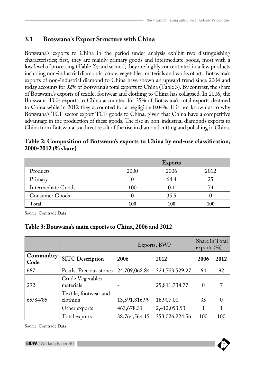## **3.1 Botswana's Export Structure with China**

Botswana's exports to China in the period under analysis exhibit two distinguishing characteristics; first, they are mainly primary goods and intermediate goods, most with a low level of processing (Table 2); and second, they are highly concentrated in a few products including non-industrial diamonds, crude, vegetables, materials and works of art. Botswana's exports of non-industrial diamond to China have shown an upward trend since 2004 and today accounts for 92% of Botswana's total exports to China (Table 3). By contrast, the share of Botswana's exports of textile, footwear and clothing to China has collapsed. In 2006, the Botswana TCF exports to China accounted for 35% of Botswana's total exports destined to China while in 2012 they accounted for a negligible 0.04%. It is not known as to why Botswana's TCF sector export TCF goods to China, given that China have a competitive advantage in the production of these goods. The rise in non-industrial diamonds exports to China from Botswana is a direct result of the rise in diamond cutting and polishing in China.

| Table 2: Composition of Botswana's exports to China by end-use classification, |  |  |  |
|--------------------------------------------------------------------------------|--|--|--|
| 2000-2012 (% share)                                                            |  |  |  |

|                           | <b>Exports</b> |      |      |  |  |
|---------------------------|----------------|------|------|--|--|
| Products                  | 2000           | 2006 | 2012 |  |  |
| Primary                   |                | 64.4 | 25   |  |  |
| <b>Intermediate Goods</b> | 100            | 0.1  | 74   |  |  |
| Consumer Goods            |                | 35.5 |      |  |  |
| Total                     | 100            | 100  | 100  |  |  |

Source: Comtrade Data

#### **Table 3: Botswana's main exports to China, 2006 and 2012**

|                   |                                   | Exports, BWP  | Share in Total<br>exports $(\% )$ |          |          |
|-------------------|-----------------------------------|---------------|-----------------------------------|----------|----------|
| Commodity<br>Code | <b>SITC Description</b>           | 2006          | 2012                              | 2006     | 2012     |
| 667               | Pearls, Precious stones           | 24,709,068.84 | 324,783,529.27                    | 64       | 92       |
| 292               | Crude Vegetables<br>materials     |               | 25,811,734.77                     | $\Omega$ | ד        |
| 65/84/85          | Textile, footwear and<br>clothing | 13,591,816.99 | 18,907.00                         | 35       | $\Omega$ |
|                   | Other exports                     | 463,678.31    | 2,412,053.53                      |          | 1        |
|                   | Total exports                     | 38,764,564.15 | 353,026,224.56                    | 100      | 100      |

Source: Comtrade Data

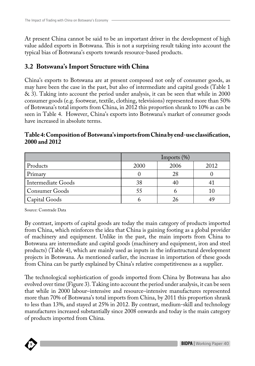At present China cannot be said to be an important driver in the development of high value added exports in Botswana. This is not a surprising result taking into account the typical bias of Botswana's exports towards resource-based products.

## **3.2 Botswana's Import Structure with China**

China's exports to Botswana are at present composed not only of consumer goods, as may have been the case in the past, but also of intermediate and capital goods (Table 1 & 3). Taking into account the period under analysis, it can be seen that while in 2000 consumer goods (e.g. footwear, textile, clothing, televisions) represented more than 50% of Botswana's total imports from China, in 2012 this proportion shrank to 10% as can be seen in Table 4. However, China's exports into Botswana's market of consumer goods have increased in absolute terms.

|                           | Imports $(\%)$ |      |      |  |  |  |
|---------------------------|----------------|------|------|--|--|--|
| Products                  | 2000           | 2006 | 2012 |  |  |  |
| Primary                   |                | 28   |      |  |  |  |
| <b>Intermediate Goods</b> | 38             |      |      |  |  |  |
| <b>Consumer Goods</b>     | 55             |      | 10   |  |  |  |
| Capital Goods             |                |      |      |  |  |  |

#### **Table 4: Composition of Botswana's imports from China by end-use classification, 2000 and 2012**

Source: Comtrade Data

By contrast, imports of capital goods are today the main category of products imported from China, which reinforces the idea that China is gaining footing as a global provider of machinery and equipment. Unlike in the past, the main imports from China to Botswana are intermediate and capital goods (machinery and equipment, iron and steel products) (Table 4), which are mainly used as inputs in the infrastructural development projects in Botswana. As mentioned earlier, the increase in importation of these goods from China can be partly explained by China's relative competitiveness as a supplier.

The technological sophistication of goods imported from China by Botswana has also evolved over time (Figure 3). Taking into account the period under analysis, it can be seen that while in 2000 labour–intensive and resource–intensive manufactures represented more than 70% of Botswana's total imports from China, by 2011 this proportion shrank to less than 13%, and stayed at 25% in 2012. By contrast, medium-skill and technology manufactures increased substantially since 2008 onwards and today is the main category of products imported from China.

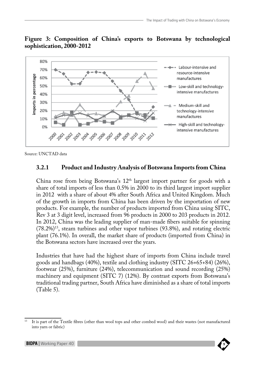#### **Figure 3: Composition of China's exports to Botswana by technological sophistication, 2000-2012**



Source: UNCTAD data

#### **3.2.1 Product and Industry Analysis of Botswana Imports from China**

China rose from being Botswana's  $12<sup>th</sup>$  largest import partner for goods with a share of total imports of less than 0.5% in 2000 to its third largest import supplier in 2012 with a share of about 4% after South Africa and United Kingdom. Much of the growth in imports from China has been driven by the importation of new products. For example, the number of products imported from China using SITC, Rev 3 at 3 digit level, increased from 96 products in 2000 to 203 products in 2012. In 2012, China was the leading supplier of man-made fibers suitable for spinning (78.2%)13, steam turbines and other vapor turbines (93.8%), and rotating electric plant (76.1%). In overall, the market share of products (imported from China) in the Botswana sectors have increased over the years.

Industries that have had the highest share of imports from China include travel goods and handbags (40%), textile and clothing industry (SITC 26+65+84) (26%), footwear (25%), furniture (24%), telecommunication and sound recording (25%) machinery and equipment (SITC 7) (12%). By contrast exports from Botswana's traditional trading partner, South Africa have diminished as a share of total imports (Table 5).

<sup>13</sup> It is part of the Textile fibres (other than wool tops and other combed wool) and their wastes (not manufactured into yarn or fabric)

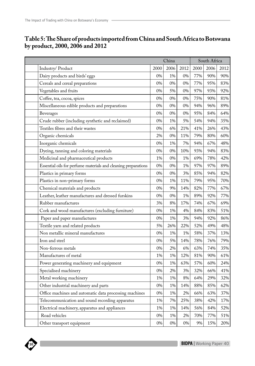| Table 5: The Share of products imported from China and South Africa to Botswana |
|---------------------------------------------------------------------------------|
| by product, 2000, 2006 and 2012                                                 |

|                                                                | China |       |      | South Africa |      |      |  |
|----------------------------------------------------------------|-------|-------|------|--------------|------|------|--|
| Industry/Product                                               | 2000  | 2006  | 2012 | 2000         | 2006 | 2012 |  |
| Dairy products and birds' eggs                                 | 0%    | 1%    | 0%   | 77%          | 90%  | 90%  |  |
| Cereals and cereal preparations                                | 0%    | 0%    | 0%   | 77%          | 95%  | 83%  |  |
| Vegetables and fruits                                          | 0%    | 5%    | 0%   | 97%          | 93%  | 92%  |  |
| Coffee, tea, cocoa, spices                                     | 0%    | 0%    | 0%   | 75%          | 90%  | 81%  |  |
| Miscellaneous edible products and preparations                 | 0%    | 0%    | 0%   | 94%          | 96%  | 89%  |  |
| Beverages                                                      | 0%    | 0%    | 0%   | 95%          | 84%  | 64%  |  |
| Crude rubber (including synthetic and reclaimed)               | 0%    | 1%    | 5%   | 54%          | 94%  | 35%  |  |
| Textiles fibres and their wastes                               | 0%    | 6%    | 21%  | 41%          | 26%  | 43%  |  |
| Organic chemicals                                              | 2%    | 0%    | 11%  | 79%          | 80%  | 60%  |  |
| Inorganic chemicals                                            | 0%    | 1%    | 7%   | 94%          | 67%  | 48%  |  |
| Dyeing, tanning and coloring materials                         | 0%    | 0%    | 10%  | 93%          | 94%  | 83%  |  |
| Medicinal and pharmaceutical products                          | 1%    | 0%    | 1%   | 69%          | 78%  | 42%  |  |
| Essential oils for perfume materials and cleaning preparations | 0%    | 0%    | 1%   | 97%          | 97%  | 89%  |  |
| Plastics in primary forms                                      | 0%    | 0%    | 3%   | 85%          | 94%  | 82%  |  |
| Plastics in non-primary forms                                  | 0%    | 1%    | 11%  | 79%          | 95%  | 70%  |  |
| Chemical materials and products                                | 0%    | 9%    | 14%  | 82%          | 77%  | 67%  |  |
| Leather, leather manufactures and dressed furskins             | 0%    | 0%    | 1%   | 89%          | 92%  | 77%  |  |
| Rubber manufactures                                            | 3%    | 8%    | 17%  | 74%          | 67%  | 69%  |  |
| Cork and wood manufactures (excluding furniture)               | 0%    | 1%    | 4%   | 84%          | 83%  | 51%  |  |
| Paper and paper manufactures                                   | 0%    | 1%    | 3%   | 94%          | 92%  | 86%  |  |
| Textile yarn and related products                              | 5%    | 26%   | 22%  | 52%          | 49%  | 48%  |  |
| Non metallic mineral manufactures                              | 0%    | 1%    | 1%   | 58%          | 37%  | 13%  |  |
| Iron and steel                                                 | 0%    | 5%    | 14%  | 78%          | 76%  | 79%  |  |
| Non-ferrous metals                                             | 0%    | 2%    | 6%   | 63%          | 74%  | 35%  |  |
| Manufactures of metal                                          | 1%    | 1%    | 12%  | 81%          | 90%  | 61%  |  |
| Power generating machinery and equipment                       | 0%    | 1%    | 63%  | 57%          | 60%  | 24%  |  |
| Specialised machinery                                          | 0%    | 2%    | 3%   | 32%          | 66%  | 41%  |  |
| Metal working machinery                                        | 1%    | 1%    | 8%   | 64%          | 29%  | 32%  |  |
| Other industrial machinery and parts                           | $0\%$ | $1\%$ | 14%  | 88%          | 85%  | 62%  |  |
| Office machines and automatic data processing machines         | 0%    | 1%    | 2%   | 66%          | 63%  | 37%  |  |
| Telecommunication and sound recording apparatus                | 1%    | 7%    | 25%  | 38%          | 42%  | 17%  |  |
| Electrical machinery, apparatus and appliances                 | 1%    | 1%    | 14%  | 56%          | 84%  | 52%  |  |
| Road vehicles                                                  | 0%    | 1%    | 2%   | 70%          | 77%  | 51%  |  |
| Other transport equipment                                      | 0%    | $0\%$ | 0%   | 9%           | 15%  | 20%  |  |

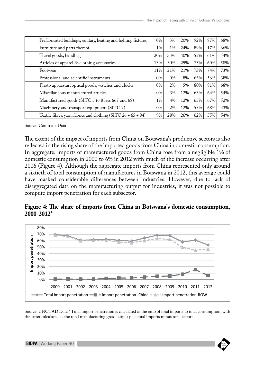| Prefabricated buildings, sanitary, heating and lighting fixtures, | $0\%$ | 3%    | 20% | 92% | 87% | 68% |
|-------------------------------------------------------------------|-------|-------|-----|-----|-----|-----|
| Furniture and parts thereof                                       | $1\%$ | $1\%$ | 24% | 89% | 17% | 66% |
| Travel goods, handbags                                            | 20%   | 33%   | 40% | 55% | 61% | 54% |
| Articles of apparel & clothing accessories                        | 13%   | 30%   | 29% | 73% | 60% | 58% |
| Footwear                                                          | 11%   | 21%   | 21% | 73% | 74% | 73% |
| Professional and scientific instruments                           | $0\%$ | $0\%$ | 8%  | 63% | 56% | 38% |
| Photo apparatus, optical goods, watches and clocks                | $0\%$ | 2%    | 5%  | 80% | 81% | 68% |
| Miscellaneous manufactured articles                               | $0\%$ | 3%    | 12% | 63% | 64% | 54% |
| Manufactured goods (SITC 5 to 8 less 667 and 68)                  | $1\%$ | 4%    | 12% | 65% | 67% | 52% |
| Machinery and transport equipment (SITC 7)                        | $0\%$ | 2%    | 12% | 55% | 68% | 43% |
| Textile fibres, yarn, fabrics and clothing $(SITC 26 + 65 + 84)$  | 9%    | 28%   | 26% | 62% | 55% | 54% |

Source: Comtrade Data

The extent of the impact of imports from China on Botswana's productive sectors is also reflected in the rising share of the imported goods from China in domestic consumption. In aggregate, imports of manufactured goods from China rose from a negligible 1% of domestic consumption in 2000 to 6% in 2012 with much of the increase occurring after 2006 (Figure 4). Although the aggregate imports from China represented only around a sixtieth of total consumption of manufactures in Botswana in 2012, this average could have masked considerable differences between industries. However, due to lack of disaggregated data on the manufacturing output for industries, it was not possible to compute import penetration for each subsector.

## **Figure 4: The share of imports from China in Botswana's domestic consumption, 2000-2012\* Figure 3: The share of imports from China in Botswana's domestic consumption, 2000-2012\***



Source: UNCTAD Data \* Total import penetration is calculated as the ratio of total imports to total consumption, with the latter calculated as the total manufacturing gross output plus total imports minus total exports.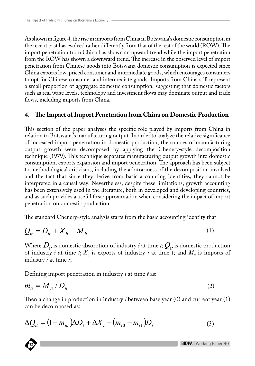As shown in figure 4, the rise in imports from China in Botswana's domestic consumption in the recent past has evolved rather differently from that of the rest of the world (ROW). The import penetration from China has shown an upward trend while the import penetration from the ROW has shown a downward trend. The increase in the observed level of import penetration from Chinese goods into Botswana domestic consumption is expected since China exports low-priced consumer and intermediate goods, which encourages consumers to opt for Chinese consumer and intermediate goods. Imports from China still represent a small proportion of aggregate domestic consumption, suggesting that domestic factors such as real wage levels, technology and investment flows may dominate output and trade flows, including imports from China.

#### **4. The Impact of Import Penetration from China on Domestic Production**

This section of the paper analyses the specific role played by imports from China in relation to Botswana's manufacturing output. In order to analyze the relative significance of increased import penetration in domestic production, the sources of manufacturing output growth were decomposed by applying the Chenery-style decomposition technique (1979). This technique separates manufacturing output growth into domestic consumption, exports expansion and import penetration. The approach has been subject to methodological criticisms, including the arbitrariness of the decomposition involved and the fact that since they derive from basic accounting identities, they cannot be interpreted in a causal way. Nevertheless, despite these limitations, growth accounting has been extensively used in the literature, both in developed and developing countries, and as such provides a useful first approximation when considering the impact of import penetration on domestic production.

The standard Chenery-style analysis starts from the basic accounting identity that

$$
Q_{it} = D_{it} + X_{it} - M_{it} \tag{1}
$$

Where  $D_{ii}$  is domestic absorption of industry *i* at time *t*;  $Q_{ii}$  is domestic production of industry *i* at time *t*;  $X_i$  is exports of industry *i* at time *t*; and  $M_i$  is imports of industry *i* at time *t*;

Defining import penetration in industry *i* at time *t* as:

$$
m_{it} = M_{it} / D_{it} \tag{2}
$$

Then a change in production in industry *i* between base year (0) and current year (1) can be decomposed as:

$$
\Delta Q_{it} = (1 - m_{io})\Delta D_i + \Delta X_i + (m_{i0} - m_{i1})D_{i1}
$$
 (3)

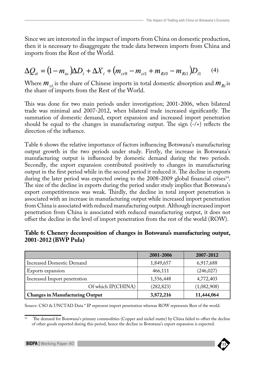Since we are interested in the impact of imports from China on domestic production, then it is necessary to disaggregate the trade data between imports from China and imports from the Rest of the World.

$$
\Delta Q_{it} = (1 - m_{io})\Delta D_i + \Delta X_i + (m_{ci0} - m_{ci1} + m_{Ri0} - m_{Ri1})D_{i1}
$$
 (4)

Where  $m_{ci}$  is the share of Chinese imports in total domestic absorption and  $m_{Ri}$  is the share of imports from the Rest of the World.

This was done for two main periods under investigation; 2001-2006, when bilateral trade was minimal and 2007-2012, when bilateral trade increased significantly. The summation of domestic demand, export expansion and increased import penetration should be equal to the changes in manufacturing output. The sign  $\overline{(-)}$  reflects the direction of the influence.

Table 6 shows the relative importance of factors influencing Botswana's manufacturing output growth in the two periods under study. Firstly, the increase in Botswana's manufacturing output is influenced by domestic demand during the two periods. Secondly, the export expansion contributed positively to changes in manufacturing output in the first period while in the second period it reduced it. The decline in exports during the later period was expected owing to the 2008-2009 global financial crises<sup>14</sup>. The size of the decline in exports during the period under study implies that Botswana's export competitiveness was weak. Thirdly, the decline in total import penetration is associated with an increase in manufacturing output while increased import penetration from China is associated with reduced manufacturing output. Although increased import penetration from China is associated with reduced manufacturing output, it does not offset the decline in the level of import penetration from the rest of the world (ROW).

|                      |  | Table 6: Chenery decomposition of changes in Botswana's manufacturing output, |  |
|----------------------|--|-------------------------------------------------------------------------------|--|
| 2001-2012 (BWP Pula) |  |                                                                               |  |

|                                        | 2001-2006  | 2007-2012   |
|----------------------------------------|------------|-------------|
| Increased Domestic Demand              | 1,849,657  | 6,917,688   |
| Exports expansion                      | 466,111    | (246, 027)  |
| Increased Import penetration           | 1,556,448  | 4,772,403   |
| Of which IP(CHINA)                     | (282, 823) | (1,082,908) |
| <b>Changes in Manufacturing Output</b> | 3,872,216  | 11,444,064  |

Source: CSO & UNCTAD Data \* IP represent import penetration whereas ROW represents Rest of the world.

<sup>&</sup>lt;sup>14</sup> The demand for Botswana's primary commodities (Copper and nickel matte) by China failed to offset the decline of other goods exported during this period, hence the decline in Botswana's export expansion is expected.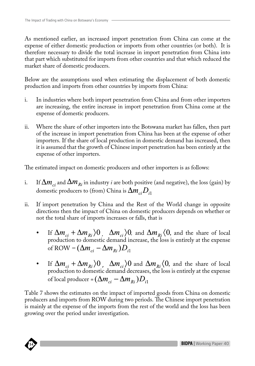As mentioned earlier, an increased import penetration from China can come at the expense of either domestic production or imports from other countries (or both). It is therefore necessary to divide the total increase in import penetration from China into that part which substituted for imports from other countries and that which reduced the market share of domestic producers.

Below are the assumptions used when estimating the displacement of both domestic production and imports from other countries by imports from China:

- i. In industries where both import penetration from China and from other importers are increasing, the entire increase in import penetration from China come at the expense of domestic producers.
- ii. Where the share of other importers into the Botswana market has fallen, then part of the increase in import penetration from China has been at the expense of other importers. If the share of local production in domestic demand has increased, then it is assumed that the growth of Chinese import penetration has been entirely at the expense of other importers.

The estimated impact on domestic producers and other importers is as follows:

- i. If  $\Delta m_{ci}$  and  $\Delta m_{Ri}$  in industry *i* are both positive (and negative), the loss (gain) by domestic producers to (from) China is  $\Delta m_{ci} D_{i1}$
- ii. If import penetration by China and the Rest of the World change in opposite directions then the impact of China on domestic producers depends on whether or not the total share of imports increases or falls, that is
	- If  $\Delta m_{ci} + \Delta m_{Ri}$   $\rangle 0$ ,  $\Delta m_{ci}$   $\rangle 0$ , and  $\Delta m_{Ri}$   $\langle 0$ , and the share of local production to domestic demand increase, the loss is entirely at the expense of ROW =  $(\Delta m_{ci} - \Delta m_{Ri})D_{i1}$
	- If  $\Delta m_{ci} + \Delta m_{Ri}$   $\rangle$ 0,  $\Delta m_{ci}$   $\rangle$ 0 and  $\Delta m_{Ri}$   $\langle$ 0, and the share of local production to domestic demand decreases, the loss is entirely at the expense of local producer =  $(\Delta m_{ci} - \Delta m_{Ri})D_{i1}$

Table 7 shows the estimates on the impact of imported goods from China on domestic producers and imports from ROW during two periods. The Chinese import penetration is mainly at the expense of the imports from the rest of the world and the loss has been growing over the period under investigation.

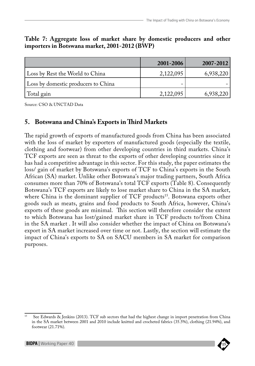|                                     | 2001-2006 | 2007-2012 |
|-------------------------------------|-----------|-----------|
| Loss by Rest the World to China     | 2,122,095 | 6,938,220 |
| Loss by domestic producers to China |           |           |
| Total gain                          | 2,122,095 | 6,938,220 |

#### **Table 7: Aggregate loss of market share by domestic producers and other importers in Botswana market, 2001-2012 (BWP)**

Source: CSO & UNCTAD Data

#### **5. Botswana and China's Exports in Third Markets**

The rapid growth of exports of manufactured goods from China has been associated with the loss of market by exporters of manufactured goods (especially the textile, clothing and footwear) from other developing countries in third markets. China's TCF exports are seen as threat to the exports of other developing countries since it has had a competitive advantage in this sector. For this study, the paper estimates the loss/ gain of market by Botswana's exports of TCF to China's exports in the South African (SA) market. Unlike other Botswana's major trading partners, South Africa consumes more than 70% of Botswana's total TCF exports (Table 8). Consequently Botswana's TCF exports are likely to lose market share to China in the SA market, where China is the dominant supplier of TCF products<sup>15</sup>. Botswana exports other goods such as meats, grains and food products to South Africa, however, China's exports of these goods are minimal. This section will therefore consider the extent to which Botswana has lost/gained market share in TCF products to/from China in the SA market . It will also consider whether the impact of China on Botswana's export in SA market increased over time or not. Lastly, the section will estimate the impact of China's exports to SA on SACU members in SA market for comparison purposes.

<sup>&</sup>lt;sup>15</sup> See Edwards & Jenkins (2013). TCF sub sectors that had the highest change in import penetration from China in the SA market between 2001 and 2010 include knitted and crocheted fabrics (35.5%), clothing (21.94%), and footwear (21.71%).

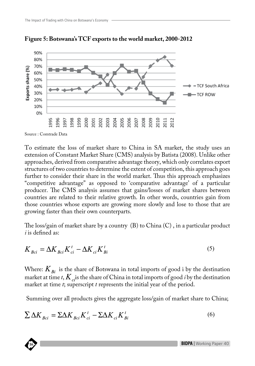

**Figure 5: Botswana's TCF exports to the world market, 2000-2012**

Source : Comtrade Data

To estimate the loss of market share to China in SA market, the study uses an extension of Constant Market Share (CMS) analysis by Batista (2008). Unlike other approaches, derived from comparative advantage theory, which only correlates export structures of two countries to determine the extent of competition, this approach goes further to consider their share in the world market. Thus this approach emphasizes "competitive advantage" as opposed to 'comparative advantage' of a particular producer. The CMS analysis assumes that gains/losses of market shares between countries are related to their relative growth. In other words, countries gain from those countries whose exports are growing more slowly and lose to those that are growing faster than their own counterparts.

The loss/gain of market share by a country (B) to China (C) , in a particular product *i* is defined as:

$$
K_{Bci} = \Delta K_{Bci} K_{ci}^t - \Delta K_{ci} K_{Bi}^t
$$
\n<sup>(5)</sup>

Where:  $K_{Bi}$  is the share of Botswana in total imports of good i by the destination market at time *t*,  $K_{ci}$  is the share of China in total imports of good *i* by the destination market at time *t*; superscript *t* represents the initial year of the period.

Summing over all products gives the aggregate loss/gain of market share to China;

$$
\sum \Delta K_{Bci} = \sum \Delta K_{Bci} K_{ci}^t - \sum \Delta K_{ci} K_{Bi}^t \tag{6}
$$

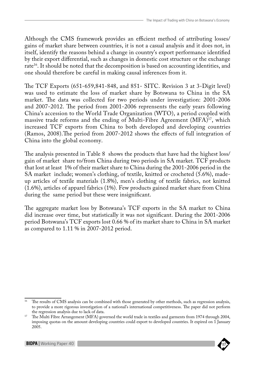Although the CMS framework provides an efficient method of attributing losses/ gains of market share between countries, it is not a casual analysis and it does not, in itself, identify the reasons behind a change in country's export performance identified by their export differential, such as changes in domestic cost structure or the exchange rate<sup>16</sup>. It should be noted that the decomposition is based on accounting identities, and one should therefore be careful in making causal inferences from it.

The TCF Exports (651-659,841-848, and 851- SITC. Revision 3 at 3-Digit level) was used to estimate the loss of market share by Botswana to China in the SA market. The data was collected for two periods under investigation: 2001-2006 and 2007-2012. The period from 2001-2006 reprensents the early years following China's accession to the World Trade Organization (WTO), a period coupled with massive trade reforms and the ending of Multi-Fibre Agreement (MFA)<sup>17</sup>, which increased TCF exports from China to both developed and developing countries (Ramos, 2008).The period from 2007-2012 shows the effects of full integration of China into the global economy.

The analysis presented in Table 8 shows the products that have had the highest loss/ gain of market share to/from China during two periods in SA market. TCF products that lost at least 1% of their market share to China during the 2001-2006 period in the SA market include; women's clothing, of textile, knitted or crocheted (5.6%), madeup articles of textile materials (1.8%), men's clothing of textile fabrics, not knitted (1.6%), articles of apparel fabrics (1%). Few products gained market share from China during the same period but these were insignificant.

The aggregate market loss by Botswana's TCF exports in the SA market to China did increase over time, but statistically it was not significant. During the 2001-2006 period Botswana's TCF exports lost 0.66 % of its market share to China in SA market as compared to 1.11 % in 2007-2012 period.

<sup>&</sup>lt;sup>17</sup> The Multi Fibre Arrangement (MFA) governed the world trade in textiles and garments from 1974 through 2004, imposing quotas on the amount developing countries could export to developed countries. It expired on 1 January 2005.



<sup>&</sup>lt;sup>16</sup> The results of CMS analysis can be combined with those generated by other methods, such as regression analysis, to provide a more rigorous investigation of a national's international competitiveness. The paper did not perform the regression analysis due to lack of data.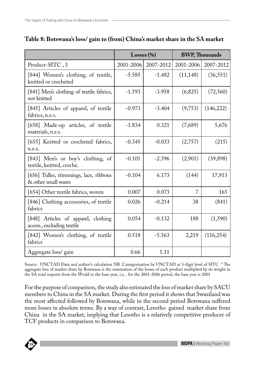|                                                                   | Losses $(\% )$ |           | <b>BWP, Thousands</b> |            |
|-------------------------------------------------------------------|----------------|-----------|-----------------------|------------|
| Product-SITC, 3                                                   | 2001-2006      | 2007-2012 | 2001-2006             | 2007-2012  |
| [844] Women's clothing, of textile,<br>knitted or crocheted       | $-5.585$       | $-1.482$  | (11, 148)             | (36, 551)  |
| [841] Men's clothing of textile fabrics,<br>not knitted           | $-1.593$       | $-3.958$  | (6,825)               | (72, 560)  |
| [845] Articles of apparel, of textile<br>fabrics, n.e.s.          | $-0.973$       | $-3.404$  | (9,753)               | (146,222)  |
| [658] Made-up articles, of textile<br>materials, n.e.s.           | $-1.834$       | 0.321     | (7,689)               | 5,676      |
| [655] Knitted or crocheted fabrics,<br>n.e.s.                     | $-0.345$       | $-0.033$  | (2,757)               | (215)      |
| [843] Men's or boy's clothing, of<br>textile, knitted, croche.    | $-0.101$       | $-2.596$  | (2,901)               | (39, 898)  |
| [656] Tulles, trimmings, lace, ribbons<br>& other small wares     | $-0.104$       | 6.173     | (144)                 | 17,913     |
| [654] Other textile fabrics, woven                                | 0.007          | 0.073     | 7                     | 165        |
| [846] Clothing accessories, of textile<br>fabrics                 | 0.026          | $-0.214$  | 38                    | (841)      |
| [848] Articles of apparel, clothing<br>access., excluding textile | 0.054          | $-0.132$  | 188                   | (1,590)    |
| [842] Women's clothing, of textile<br>fabrics                     | 0.518          | $-5.563$  | 2,219                 | (116, 254) |
| Aggregate loss/ gain                                              | 0.66           | 1.11      |                       |            |

#### **Table 8: Botswana's loss/ gain to (from) China's market share in the SA market**

Source: UNCTAD Data and author's calculation NB .Catergorisation by UNCTAD at 3-digit level of SITC .\* The aggregate loss of market share by Botswana is the summation of the losses of each product multiplied by its weight in the SA total imports from the World in the base year, i.e, . for the 2001-2006 period, the base year is 2001

For the purpose of comparison, the study also estimated the loss of market share by SACU members to China in the SA market. During the first period it shows that Swaziland was the most affected followed by Botswana, while in the second period Botswana suffered more losses in absolute terms. By a way of contrast, Lesotho gained market share from China in the SA market, implying that Lesotho is a relatively competitive producer of TCF products in comparison to Botswana.

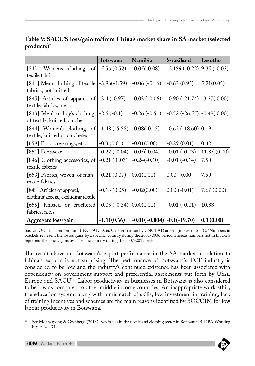|                                                                          | <b>Botswana</b>                   | Namibia                        | Swaziland                           | Lesotho       |
|--------------------------------------------------------------------------|-----------------------------------|--------------------------------|-------------------------------------|---------------|
| [842] Women's clothing, of $-5.56(0.52)$<br>textile fabrics              |                                   | $-0.05(-0.08)$                 | $-2.159(-0.22)$                     | $9.35(-0.03)$ |
| [841] Men's clothing of textile $ -3.96(-1.59) $<br>fabrics, not knitted |                                   | $-0.06(-0.16)$                 | $-0.63(0.95)$                       | 5.21(0.05)    |
| [845] Articles of apparel, of $ -3.4(-0.97) $<br>textile fabrics, n.e.s. |                                   | $-0.03(-0.06)$                 | $-0.90$ $(-21.74)$ $-3.27$ $(0.00)$ |               |
| [843] Men's or boy's clothing,<br>of textile, knitted, croche.           | $-2.6(-0.1)$                      | $-0.26(-0.51)$                 | $-0.52$ ( $-26.55$ ) $-0.49$ (0.00) |               |
| [844] Women's clothing, of<br>textile, knitted or crocheted              | $-1.48(-5.58)$                    | $-0.08(-0.15)$                 | $-0.62$ ( $-18.60$ ) 0.19           |               |
| [659] Floor coverings, etc.                                              | $-0.3(0.01)$                      | $-0.01(0.00)$                  | $-0.29(0.01)$                       | 0.42          |
| [851] Footwear                                                           | $-0.22(-0.04)$                    | $-0.05(-0.04)$                 | $-0.01(-0.03)$                      | 11.85(0.00)   |
| [846] Clothing accessories, of<br>textile fabrics                        | $-0.21(0.03)$                     | $-0.24(-0.10)$                 | $-0.01(-0.14)$                      | 7.50          |
| [653] Fabrics, woven, of man-<br>made fabrics                            | $-0.21(0.07)$                     | 0.01(0.00)                     | 0.00(0.00)                          | 7.90          |
| [848] Articles of apparel,<br>clothing access., excluding textile        | $-0.13(0.05)$                     | $-0.02(0.00)$                  | $0.00(-0.01)$                       | 7.67(0.00)    |
| [655] Knitted or crocheted<br>fabrics, n.e.s.                            | $-0.03$ ( $-0.34$ ) $ 0.00(0.00)$ |                                | $-0.01(-0.01)$                      | 10.88         |
| Aggregate loss/gain                                                      | $-1.11(0.66)$                     | $-0.01(-0.004)$ $-0.1(-19.70)$ |                                     | 0.1(0.00)     |

#### **Table 9: SACU'S loss/gain to/from China's market share in SA market (selected products)\***

Source: Own Elaboration from UNCTAD Data. Catergorisation by UNCTAD at 3-digit level of SITC. \*Numbers in brackets represent the losses/gains by a specific country during the 2001-2006 period whereas numbers not in brackets represent the losses/gains by a specific country during the 2007-2012 period.

The result above on Botswana's export performance in the SA market in relation to China's exports is not surprising. The performance of Botswana's TCF industry is considered to be low and the industry's continued existence has been associated with dependency on government support and preferential agreements put forth by USA, Europe and SACU<sup>18</sup>. Labor productivity in businesses in Botswana is also considered to be low as compared to other middle income countries. An inappropriate work ethic, the education system, along with a mismatch of skills, low investment in training, lack of training incentives and schemes are the main reasons identified by BOCCIM for low labour productivity in Botswana.

<sup>18</sup> See Motswapong & Grynberg. (2013). Key issues in the textile and clothing sector in Botswana. BIDPA Working Paper No. 34.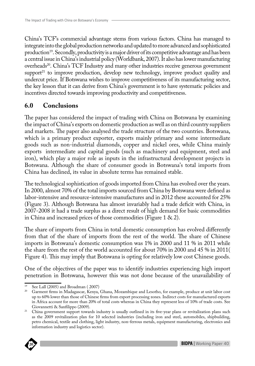China's TCF's commercial advantage stems from various factors. China has managed to integrate into the global production networks and updated to more advanced and sophisticated production<sup>19</sup>. Secondly, productivity is a major driver of its competitive advantage and has been a central issue in China's industrial policy (Worldbank, 2007). It also has lower manufacturing overheads<sup>20</sup>. China's TCF Industry and many other industries receive generous government support<sup>21</sup> to improve production, develop new technology, improve product quality and undercut price. If Botswana wishes to improve competitiveness of its manufacturing sector, the key lesson that it can derive from China's government is to have systematic policies and incentives directed towards improving productivity and competitiveness.

## **6.0 Conclusions**

The paper has considered the impact of trading with China on Botswana by examining the impact of China's exports on domestic production as well as on third country suppliers and markets. The paper also analysed the trade structure of the two countries. Botswana, which is a primary product exporter, exports mainly primary and some intermediate goods such as non-industrial diamonds, copper and nickel ores, while China mainly exports intermediate and capital goods (such as machinery and equipment, steel and iron), which play a major role as inputs in the infrastructural development projects in Botswana. Although the share of consumer goods in Botswana's total imports from China has declined, its value in absolute terms has remained stable.

The technological sophistication of goods imported from China has evolved over the years. In 2000, almost 70% of the total imports sourced from China by Botswana were defined as labor-intensive and resource-intensive manufactures and in 2012 these accounted for 25% (Figure 3). Although Botswana has almost invariably had a trade deficit with China, in 2007-2008 it had a trade surplus as a direct result of high demand for basic commodities in China and increased prices of those commodities (Figure 1 & 2).

The share of imports from China in total domestic consumption has evolved differently from that of the share of imports from the rest of the world. The share of Chinese imports in Botswana's domestic consumption was 1% in 2000 and 11 % in 2011 while the share from the rest of the world accounted for about 70% in 2000 and 45 % in 2011( Figure 4). This may imply that Botswana is opting for relatively low cost Chinese goods.

One of the objectives of the paper was to identify industries experiencing high import penetration in Botswana, however this was not done because of the unavailability of

**BIDPA Publications Series** information industry and logistics sector).<sup>21</sup> China government support towards industry is usually outlined in its five-year plans or revitalization plans such as the 2009 revitalization plan for 10 selected industries (including iron and steel, automobiles, shipbuilding, petro chemical, textile and clothing, light industry, non-ferrous metals, equipment manufacturing, electronics and



 $19$  See Lall (2005) and Broadman (2007)

<sup>20</sup> Garment firms in Madagascar, Kenya, Ghana, Mozambique and Lesotho, for example, produce at unit labor cost up to 60% lower than those of Chinese firms from export processing zones. Indirect costs for manufactured exports in Africa account for more than 20% of total costs whereas in China they represent less of 10% of trade costs. See Giovannetti & Sanfilippo (2009).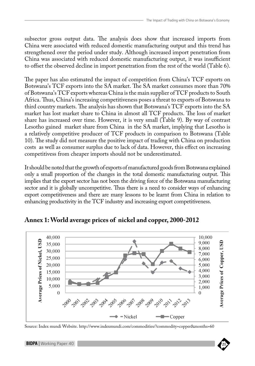subsector gross output data. The analysis does show that increased imports from China were associated with reduced domestic manufacturing output and this trend has strengthened over the period under study. Although increased import penetration from China was associated with reduced domestic manufacturing output, it was insufficient to offset the observed decline in import penetration from the rest of the world (Table 6).

The paper has also estimated the impact of competition from China's TCF exports on Botswana's TCF exports into the SA market. The SA market consumes more than 70% of Botswana's TCF exports whereas China is the main supplier of TCF products to South Africa. Thus, China's increasing competitiveness poses a threat to exports of Botswana to third country markets. The analysis has shown that Botswana's TCF exports into the SA market has lost market share to China in almost all TCF products. The loss of market share has increased over time. However, it is very small (Table 9). By way of contrast Lesotho gained market share from China in the SA market, implying that Lesotho is a relatively competitive producer of TCF products in comparison to Botswana (Table 10). The study did not measure the positive impact of trading with China on production costs as well as consumer surplus due to lack of data. However, this effect on increasing competitivess from cheaper imports should not be underestimated.

It should be noted that the growth of exports of manufactured goods from Botswana explained only a small proportion of the changes in the total domestic manufacturing output. This implies that the export sector has not been the driving force of the Botswana manufacturing sector and it is globally uncompetitive. Thus there is a need to consider ways of enhancing export competitiveness and there are many lessons to be learnt from China in relation to enhancing productivity in the TCF industry and increasing export competitiveness.



**Annex 1: World average prices of nickel and copper, 2000-2012**

Source: Index mundi Website. http://www.indexmundi.com/commodities/?commodity=copper&months=60

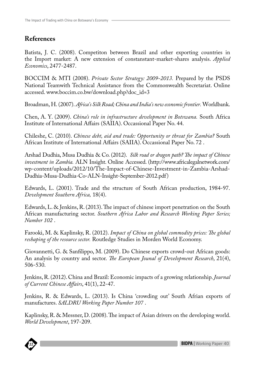## **References**

Batista, J. C. (2008). Competiton between Brazil and other exporting countries in the Import market: A new extension of constanstant-market-shares analysis. *Applied Economics*, 2477-2487.

BOCCIM & MTI (2008). *Private Sector Strategy: 2009-2013.* Prepared by the PSDS National Teamwith Technical Assistance from the Commonwealth Secretariat. Online accessed. www.boccim.co.bw/download.php?doc\_id=3

Broadman, H. (2007). *Africa's Silk Road; China and India's new economic frontier.* Worldbank.

Chen, A. Y. (2009). *China's role in infrastructure development in Botswana.* South Africa Institute of International Affairs (SAIIA). Occassional Paper No. 44.

Chileshe, C. (2010). *Chinese debt, aid and trade: Opportunity or threat for Zambia?* South African Institute of International Affairs (SAIIA). Occassional Paper No. 72 .

Arshad Dudhia, Musa Dudhia & Co. (2012). *Silk road or dragon path? The impact of Chinese investment in Zambia.* ALN Insight. Online Accessed. (http://www.africalegalnetwork.com/ wp-content/uploads/2012/10/The-Impact-of-Chinese-Investment-in-Zambia-Arshad-Dudhia-Musa-Dudhia-Co-ALN-Insight-September-2012.pdf)

Edwards, L. (2001). Trade and the structure of South African production, 1984-97. *Development Southern Africa,* 18(4).

Edwards, L. & Jenkins, R. (2013). The impact of chinese import penetration on the South African manufacturing sector. *Southern Africa Labor and Research Working Paper Series; Number 102* .

Farooki, M. & Kaplinsky, R. (2012). *Impact of China on global commodity prices: The global reshaping of the resource sector.* Routledge Studies in Morden World Economy.

Giovannetti, G. & Sanfilippo, M. (2009). Do Chinese exports crowd-out African goods: An analysis by country and sector. *The European Jounal of Development Research*, 21(4), 506-530.

Jenkins, R. (2012). China and Brazil: Economic impacts of a growing relationship. *Journal of Current Chinese Affairs*, 41(1), 22-47.

Jenkins, R. & Edwards, L. (2013). Is China 'crowding out' South Afrian exports of manufactures. *SALDRU Working Paper Number 107* .

Kaplinsky, R. & Messner, D. (2008). The impact of Asian drivers on the developing world. *World Development*, 197-209.

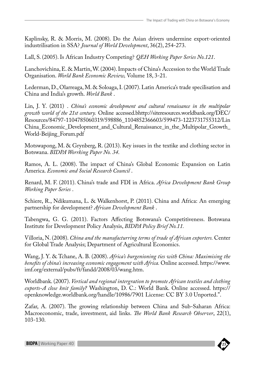Kaplinsky, R. & Morris, M. (2008). Do the Asian drivers undermine export-oriented industrilisation in SSA? *Journal of World Development*, 36(2), 254-273.

Lall, S. (2005). Is African Industry Competing? *QEH Working Paper Series No.121*.

Lanchovichina, E. & Martin, W. (2004). Impacts of China's Accession to the World Trade Organisation. *World Bank Economic Review,* Volume 18, 3-21.

Lederman, D., Olarreaga, M. & Soloaga, I. (2007). Latin America's trade specilisation and China and India's growth. *World Bank* .

Lin, J. Y. (2011) . *China's economic development and cultural renaissance in the multipolar growth world of the 21st century.* Online accessed.bhttp://siteresources.worldbank.org/DEC/ Resources/84797-1104785060319/598886\_1104852366603/599473-1223731755312/Lin China\_Economic\_Development\_and\_Cultural\_Renaissance\_in\_the\_Multipolar\_Growth\_ World-Beijing\_Forum.pdf

Motswapong, M. & Grynberg, R. (2013). Key issues in the textike and clothing sector in Botswana. *BIDPA Worrking Paper No. 34*.

Ramos, A. L. (2008). The impact of China's Global Economic Expansion on Latin America. *Economic and Social Research Council* .

Renard, M. F. (2011). China's trade and FDI in Africa. *Africa Development Bank Group Working Paper Series* .

Schiere, R., Ndikumana, L. & Walkenhorst, P. (2011). China and Africa: An emerging partnership for development? *African Development Bank* .

Tabengwa, G. G. (2011). Factors Affecting Botswana's Competitiveness. Botswana Institute for Development Policy Analysis, *BIDPA Policy Brief No.11.*

Villoria, N. (2008). *China and the manufacturring terms of trade of African exporters.* Center for Global Trade Analysis; Department of Agricultural Economics.

Wang, J. Y. & Tchane, A. B. (2008). *Africa's burgenioning ties with China: Maximising the benefits of china's increasing economic engagement with Africa.* Online accessed. https://www. imf.org/external/pubs/ft/fandd/2008/03/wang.htm.

Worldbank. (2007). *Vertical and regional intergration to promote African textiles and clothing exports-A close knit family?* Washington, D. C.: World Bank. Online accessed. https:// openknowledge.worldbank.org/handle/10986/7901 License: CC BY 3.0 Unported.".

Zafar, A. (2007). The growing relationship between China and Sub-Saharan Africa: Macroeconomic, trade, investment, aid links. *The World Bank Research Observer*, 22(1), 103-130.

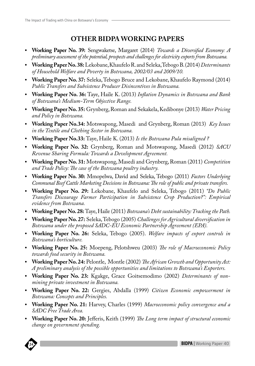## **OTHER BIDPA WORKING PAPERS**

- **Working Paper No. 39:** Sengwaketse, Margaret (2014) *Towards a Diversified Economy: A preliminary assessment of the potential, prospects and challenges for electricity exports from Botswana.*
- **Working Paper No. 38:** Lekobane, Khaufelo R. and Seleka, Tebogo B. (2014) *Determinants of Household Welfare and Poverty in Botswana, 2002/03 and 2009/10.*
- **Working Paper No. 37:** Seleka, Tebogo Bruce and Lekobane, Khaufelo Raymond (2014) *Public Transfers and Subsistence Producer Disincentives in Botswana.*
- **Working Paper No. 36:** Taye, Haile K. (2013) *Inflation Dynamics in Botswana and Bank of Botswana's Medium-Term Objective Range.*
- **Working Paper No. 35:** Grynberg, Roman and Sekakela, Kedibonye (2013) *Water Pricing and Policy in Botswana.*
- **Working Paper No.34:** Motswapong, Masedi and Grynberg, Roman (2013) *Key Issues in the Textile and Clothing Sector in Botswana.*
- **Working Paper No.33:** Taye, Haile K. (2013) *Is the Botswana Pula misaligned ?*
- **Working Paper No. 32:** Grynberg, Roman and Motswapong, Masedi (2012) *SACU Revenue Sharing Formula: Towards a Development Agreement.*
- **Working Paper No. 31:** Motswapong, Masedi and Grynberg, Roman (2011) *Competition and Trade Policy: The case of the Botswana poultry industry.*
- **Working Paper No. 30:** Mmopelwa, David and Seleka, Tebogo (2011) *Factors Underlying Communal Beef Cattle Marketing Decisions in Botswana: The role of public and private transfers.*
- **Working Paper No. 29:** Lekobane, Khaufelo and Seleka, Tebogo (2011) *"Do Public Transfers Discourage Farmer Participation in Subsistence Crop Production?": Empirical evidence from Botswana.*
- **Working Paper No. 28:** Taye, Haile (2011) *Botswana's Debt sustainability: Tracking the Path.*
- **Working Paper No. 27:** Seleka, Tebogo (2005) *Challenges for Agricultural diversification in Botswana under the proposed SADC-EU Economic Partnership Agreement (EPA).*
- **Working Paper No. 26:** Seleka, Tebogo (2005). *Welfare impacts of export controls in Botswana's horticulture.*
- **Working Paper No. 25:** Moepeng, Pelotshweu (2003) *The role of Macroeconomic Policy towards food security in Botswana.*
- **Working Paper No. 24:** Pelontle, Montle (2002) *The African Growth and Opportunity Act: A preliminary analysis of the possible opportunities and limitations to Botswana's Exporters.*
- **Working Paper No. 23:** Kgakge, Grace Goitsemodimo (2002) *Determinants of nonmining private investment in Botswana.*
- **Working Paper No. 22:** Gergies, Abdalla (1999) *Citizen Economic empowerment in Botswana: Concepts and Principles.*
- **Working Paper No. 21:** Harvey, Charles (1999) *Macroeconomic policy convergence and a SADC Free Trade Area.*
- **BIDPA Publications Series** *change on government spending.*• **Working Paper No. 20:** Jefferis, Keith (1999) *The Long term impact of structural economic*